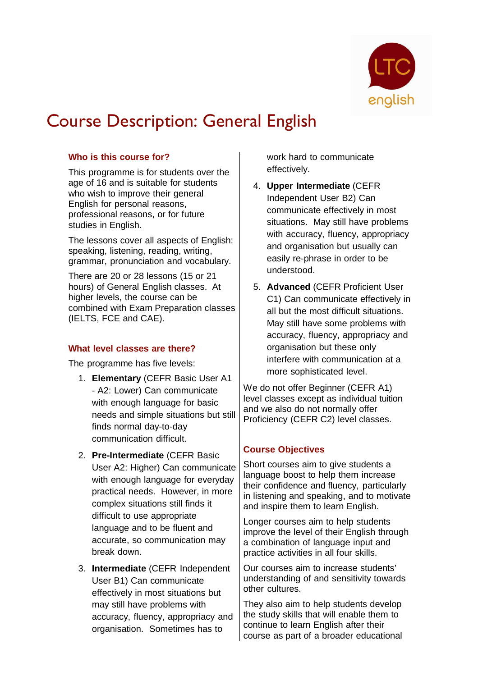

# Course Description: General English

# **Who is this course for?**

This programme is for students over the age of 16 and is suitable for students who wish to improve their general English for personal reasons, professional reasons, or for future studies in English.

The lessons cover all aspects of English: speaking, listening, reading, writing, grammar, pronunciation and vocabulary.

There are 20 or 28 lessons (15 or 21 hours) of General English classes. At higher levels, the course can be combined with Exam Preparation classes (IELTS, FCE and CAE).

### **What level classes are there?**

The programme has five levels:

- 1. **Elementary** (CEFR Basic User A1 - A2: Lower) Can communicate with enough language for basic needs and simple situations but still finds normal day-to-day communication difficult.
- 2. **Pre-Intermediate** (CEFR Basic User A2: Higher) Can communicate with enough language for everyday practical needs. However, in more complex situations still finds it difficult to use appropriate language and to be fluent and accurate, so communication may break down.
- 3. **Intermediate** (CEFR Independent User B1) Can communicate effectively in most situations but may still have problems with accuracy, fluency, appropriacy and organisation. Sometimes has to

work hard to communicate effectively.

- 4. **Upper Intermediate** (CEFR Independent User B2) Can communicate effectively in most situations. May still have problems with accuracy, fluency, appropriacy and organisation but usually can easily re-phrase in order to be understood.
- 5. **Advanced** (CEFR Proficient User C1) Can communicate effectively in all but the most difficult situations. May still have some problems with accuracy, fluency, appropriacy and organisation but these only interfere with communication at a more sophisticated level.

We do not offer Beginner (CEFR A1) level classes except as individual tuition and we also do not normally offer Proficiency (CEFR C2) level classes.

# **Course Objectives**

Short courses aim to give students a language boost to help them increase their confidence and fluency, particularly in listening and speaking, and to motivate and inspire them to learn English.

Longer courses aim to help students improve the level of their English through a combination of language input and practice activities in all four skills.

Our courses aim to increase students' understanding of and sensitivity towards other cultures.

They also aim to help students develop the study skills that will enable them to continue to learn English after their course as part of a broader educational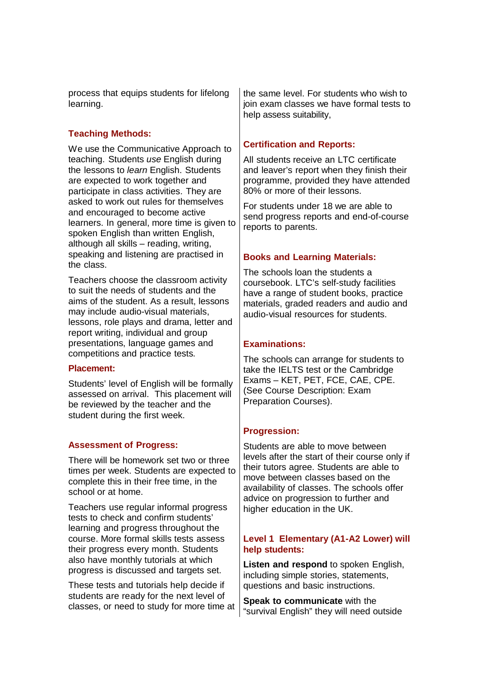process that equips students for lifelong learning.

# **Teaching Methods:**

We use the Communicative Approach to teaching. Students *use* English during the lessons to *learn* English. Students are expected to work together and participate in class activities. They are asked to work out rules for themselves and encouraged to become active learners. In general, more time is given to spoken English than written English, although all skills – reading, writing, speaking and listening are practised in the class.

Teachers choose the classroom activity to suit the needs of students and the aims of the student. As a result, lessons may include audio-visual materials, lessons, role plays and drama, letter and report writing, individual and group presentations, language games and competitions and practice tests.

#### **Placement:**

Students' level of English will be formally assessed on arrival. This placement will be reviewed by the teacher and the student during the first week.

### **Assessment of Progress:**

There will be homework set two or three times per week. Students are expected to complete this in their free time, in the school or at home.

Teachers use regular informal progress tests to check and confirm students' learning and progress throughout the course. More formal skills tests assess their progress every month. Students also have monthly tutorials at which progress is discussed and targets set.

These tests and tutorials help decide if students are ready for the next level of classes, or need to study for more time at the same level. For students who wish to join exam classes we have formal tests to help assess suitability,

### **Certification and Reports:**

All students receive an LTC certificate and leaver's report when they finish their programme, provided they have attended 80% or more of their lessons.

For students under 18 we are able to send progress reports and end-of-course reports to parents.

### **Books and Learning Materials:**

The schools loan the students a coursebook. LTC's self-study facilities have a range of student books, practice materials, graded readers and audio and audio-visual resources for students.

### **Examinations:**

The schools can arrange for students to take the IELTS test or the Cambridge Exams – KET, PET, FCE, CAE, CPE. (See Course Description: Exam Preparation Courses).

### **Progression:**

Students are able to move between levels after the start of their course only if their tutors agree. Students are able to move between classes based on the availability of classes. The schools offer advice on progression to further and higher education in the UK.

### **Level 1 Elementary (A1-A2 Lower) will help students:**

**Listen and respond** to spoken English, including simple stories, statements, questions and basic instructions.

**Speak to communicate** with the "survival English" they will need outside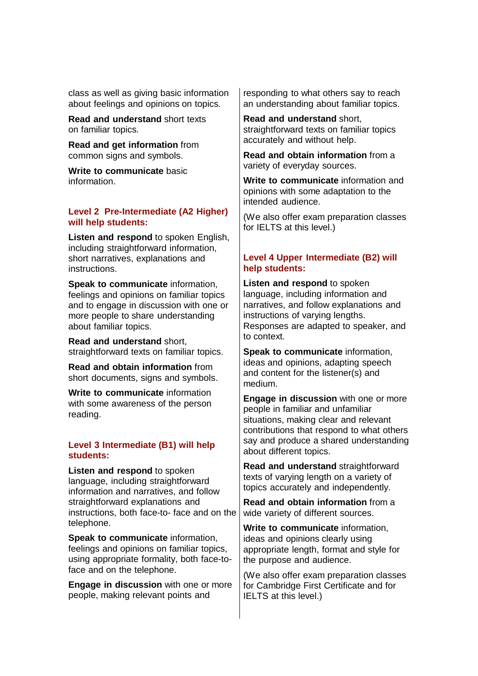class as well as giving basic information about feelings and opinions on topics.

**Read and understand** short texts on familiar topics.

**Read and get information** from common signs and symbols.

**Write to communicate** basic information.

#### **Level 2 Pre-Intermediate (A2 Higher) will help students:**

**Listen and respond** to spoken English, including straightforward information, short narratives, explanations and instructions.

**Speak to communicate** information, feelings and opinions on familiar topics and to engage in discussion with one or more people to share understanding about familiar topics.

**Read and understand** short, straightforward texts on familiar topics.

**Read and obtain information** from short documents, signs and symbols.

**Write to communicate** information with some awareness of the person reading.

#### **Level 3 Intermediate (B1) will help students:**

**Listen and respond** to spoken language, including straightforward information and narratives, and follow straightforward explanations and instructions, both face-to- face and on the telephone.

**Speak to communicate** information, feelings and opinions on familiar topics, using appropriate formality, both face-toface and on the telephone.

**Engage in discussion** with one or more people, making relevant points and

responding to what others say to reach an understanding about familiar topics.

**Read and understand** short, straightforward texts on familiar topics accurately and without help.

**Read and obtain information** from a variety of everyday sources.

**Write to communicate** information and opinions with some adaptation to the intended audience.

(We also offer exam preparation classes for IELTS at this level.)

## **Level 4 Upper Intermediate (B2) will help students:**

**Listen and respond** to spoken language, including information and narratives, and follow explanations and instructions of varying lengths. Responses are adapted to speaker, and to context.

**Speak to communicate** information, ideas and opinions, adapting speech and content for the listener(s) and medium.

**Engage in discussion** with one or more people in familiar and unfamiliar situations, making clear and relevant contributions that respond to what others say and produce a shared understanding about different topics.

**Read and understand** straightforward texts of varying length on a variety of topics accurately and independently.

**Read and obtain information** from a wide variety of different sources.

**Write to communicate** information, ideas and opinions clearly using appropriate length, format and style for the purpose and audience.

(We also offer exam preparation classes for Cambridge First Certificate and for IELTS at this level.)